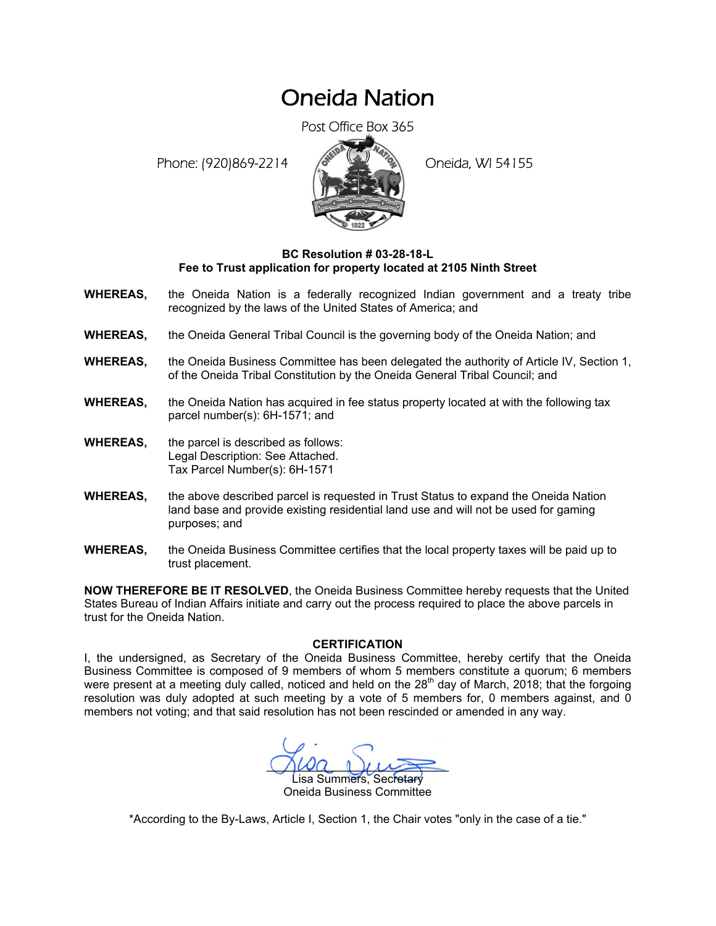## Oneida Nation

Post Office Box 365

Phone: (920)869-2214 (8 22 3) Oneida, WI 54155



## **BC Resolution # 03-28-18-L Fee to Trust application for property located at 2105 Ninth Street**

- **WHEREAS,** the Oneida Nation is a federally recognized Indian government and a treaty tribe recognized by the laws of the United States of America; and
- **WHEREAS,** the Oneida General Tribal Council is the governing body of the Oneida Nation; and
- **WHEREAS,** the Oneida Business Committee has been delegated the authority of Article IV, Section 1, of the Oneida Tribal Constitution by the Oneida General Tribal Council; and
- **WHEREAS,** the Oneida Nation has acquired in fee status property located at with the following tax parcel number(s): 6H-1571; and
- **WHEREAS,** the parcel is described as follows: Legal Description: See Attached. Tax Parcel Number(s): 6H-1571
- **WHEREAS,** the above described parcel is requested in Trust Status to expand the Oneida Nation land base and provide existing residential land use and will not be used for gaming purposes; and
- **WHEREAS,** the Oneida Business Committee certifies that the local property taxes will be paid up to trust placement.

**NOW THEREFORE BE IT RESOLVED**, the Oneida Business Committee hereby requests that the United States Bureau of Indian Affairs initiate and carry out the process required to place the above parcels in trust for the Oneida Nation.

## **CERTIFICATION**

I, the undersigned, as Secretary of the Oneida Business Committee, hereby certify that the Oneida Business Committee is composed of 9 members of whom 5 members constitute a quorum; 6 members were present at a meeting duly called, noticed and held on the  $28<sup>th</sup>$  day of March, 2018; that the forgoing resolution was duly adopted at such meeting by a vote of 5 members for, 0 members against, and 0 members not voting; and that said resolution has not been rescinded or amended in any way.

 $M^2$ isa Summers, Secretary Oneida Business Committee

\*According to the By-Laws, Article I, Section 1, the Chair votes "only in the case of a tie."